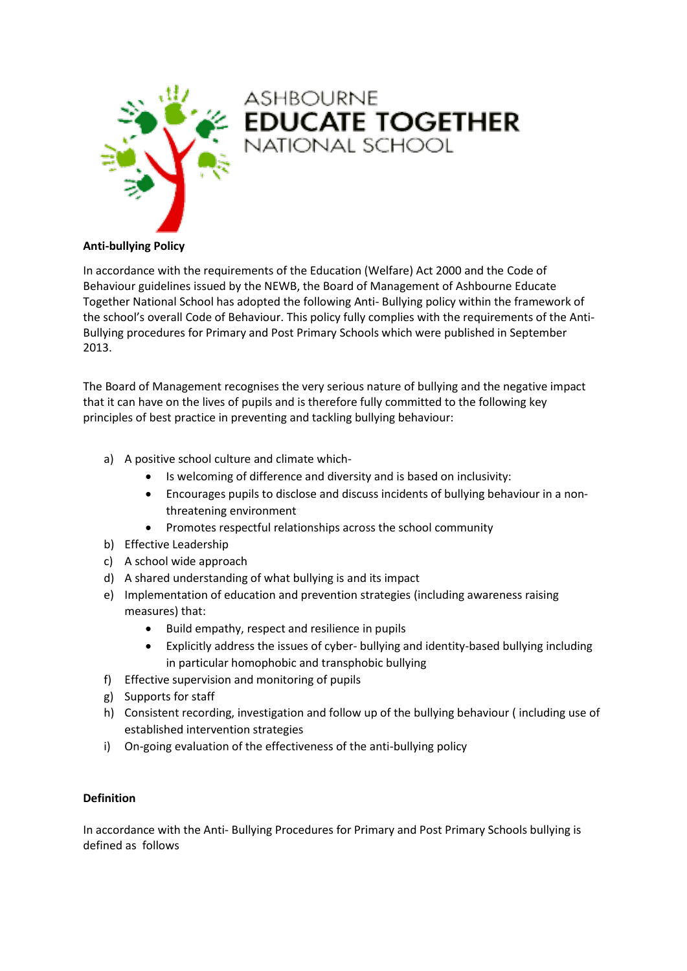

# ASHBOURNE<br>**EDUCATE TOGETHER**<br>NATIONAL SCHOOL

# **Anti-bullying Policy**

In accordance with the requirements of the Education (Welfare) Act 2000 and the Code of Behaviour guidelines issued by the NEWB, the Board of Management of Ashbourne Educate Together National School has adopted the following Anti- Bullying policy within the framework of the school's overall Code of Behaviour. This policy fully complies with the requirements of the Anti-Bullying procedures for Primary and Post Primary Schools which were published in September 2013.

The Board of Management recognises the very serious nature of bullying and the negative impact that it can have on the lives of pupils and is therefore fully committed to the following key principles of best practice in preventing and tackling bullying behaviour:

- a) A positive school culture and climate which-
	- Is welcoming of difference and diversity and is based on inclusivity:
	- Encourages pupils to disclose and discuss incidents of bullying behaviour in a nonthreatening environment
	- Promotes respectful relationships across the school community
- b) Effective Leadership
- c) A school wide approach
- d) A shared understanding of what bullying is and its impact
- e) Implementation of education and prevention strategies (including awareness raising measures) that:
	- Build empathy, respect and resilience in pupils
	- Explicitly address the issues of cyber- bullying and identity-based bullying including in particular homophobic and transphobic bullying
- f) Effective supervision and monitoring of pupils
- g) Supports for staff
- h) Consistent recording, investigation and follow up of the bullying behaviour ( including use of established intervention strategies
- i) On-going evaluation of the effectiveness of the anti-bullying policy

#### **Definition**

In accordance with the Anti- Bullying Procedures for Primary and Post Primary Schools bullying is defined as follows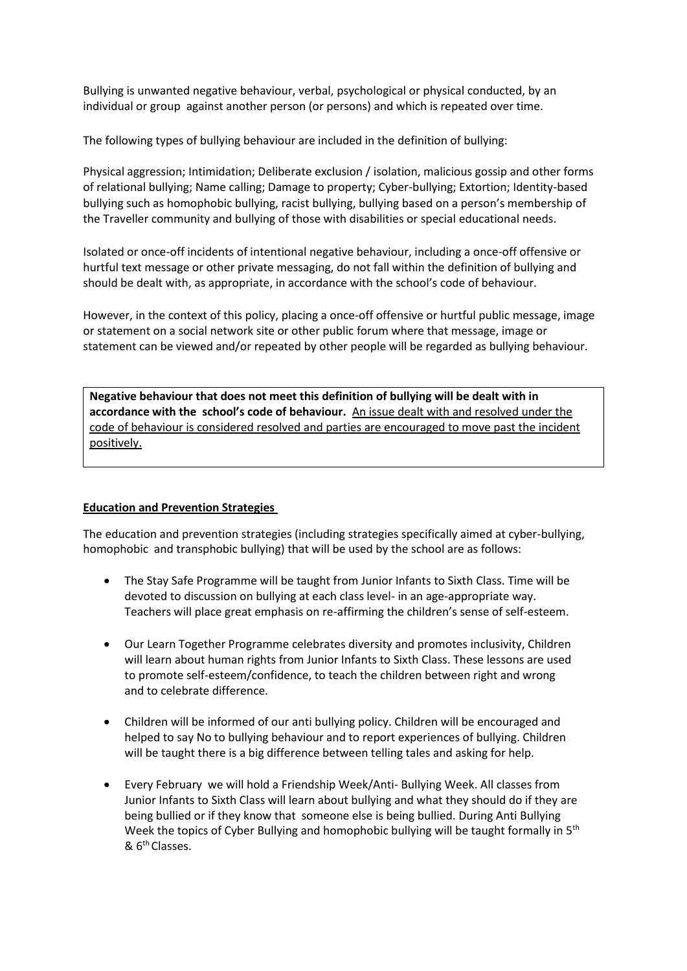Bullying is unwanted negative behaviour, verbal, psychological or physical conducted, by an individual or group against another person (or persons) and which is repeated over time.

The following types of bullying behaviour are included in the definition of bullying:

Physical aggression; Intimidation; Deliberate exclusion / isolation, malicious gossip and other forms of relational bullying; Name calling; Damage to property; Cyber-bullying; Extortion; Identity-based bullying such as homophobic bullying, racist bullying, bullying based on a person's membership of the Traveller community and bullying of those with disabilities or special educational needs.

Isolated or once-off incidents of intentional negative behaviour, including a once-off offensive or hurtful text message or other private messaging, do not fall within the definition of bullying and should be dealt with, as appropriate, in accordance with the school's code of behaviour.

However, in the context of this policy, placing a once-off offensive or hurtful public message, image or statement on a social network site or other public forum where that message, image or statement can be viewed and/or repeated by other people will be regarded as bullying behaviour.

**Negative behaviour that does not meet this definition of bullying will be dealt with in accordance with the school's code of behaviour.** An issue dealt with and resolved under the code of behaviour is considered resolved and parties are encouraged to move past the incident positively.

# **Education and Prevention Strategies**

The education and prevention strategies (including strategies specifically aimed at cyber-bullying, homophobic and transphobic bullying) that will be used by the school are as follows:

- The Stay Safe Programme will be taught from Junior Infants to Sixth Class. Time will be devoted to discussion on bullying at each class level- in an age-appropriate way. Teachers will place great emphasis on re-affirming the children's sense of self-esteem.
- Our Learn Together Programme celebrates diversity and promotes inclusivity, Children will learn about human rights from Junior Infants to Sixth Class. These lessons are used to promote self-esteem/confidence, to teach the children between right and wrong and to celebrate difference.
- Children will be informed of our anti bullying policy. Children will be encouraged and helped to say No to bullying behaviour and to report experiences of bullying. Children will be taught there is a big difference between telling tales and asking for help.
- Every February we will hold a Friendship Week/Anti- Bullying Week. All classes from Junior Infants to Sixth Class will learn about bullying and what they should do if they are being bullied or if they know that someone else is being bullied. During Anti Bullying Week the topics of Cyber Bullying and homophobic bullying will be taught formally in 5<sup>th</sup> & 6th Classes.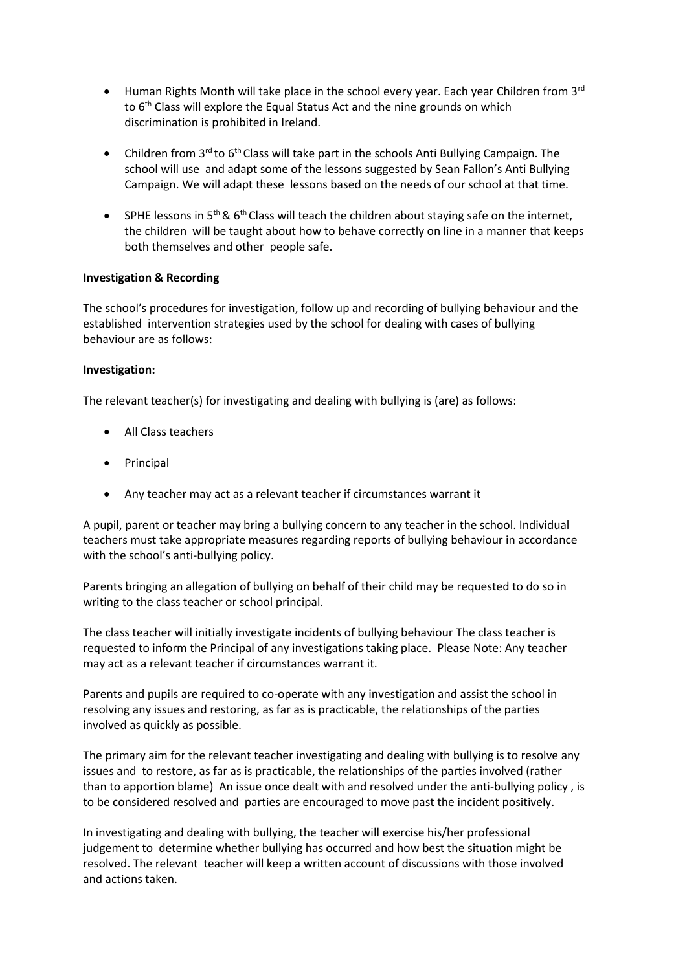- Human Rights Month will take place in the school every year. Each year Children from  $3<sup>rd</sup>$ to 6<sup>th</sup> Class will explore the Equal Status Act and the nine grounds on which discrimination is prohibited in Ireland.
- Children from 3<sup>rd</sup> to 6<sup>th</sup> Class will take part in the schools Anti Bullying Campaign. The school will use and adapt some of the lessons suggested by Sean Fallon's Anti Bullying Campaign. We will adapt these lessons based on the needs of our school at that time.
- **SPHE lessons in 5<sup>th</sup> & 6<sup>th</sup> Class will teach the children about staying safe on the internet,** the children will be taught about how to behave correctly on line in a manner that keeps both themselves and other people safe.

#### **Investigation & Recording**

The school's procedures for investigation, follow up and recording of bullying behaviour and the established intervention strategies used by the school for dealing with cases of bullying behaviour are as follows:

# **Investigation:**

The relevant teacher(s) for investigating and dealing with bullying is (are) as follows:

- All Class teachers
- Principal
- Any teacher may act as a relevant teacher if circumstances warrant it

A pupil, parent or teacher may bring a bullying concern to any teacher in the school. Individual teachers must take appropriate measures regarding reports of bullying behaviour in accordance with the school's anti-bullying policy.

Parents bringing an allegation of bullying on behalf of their child may be requested to do so in writing to the class teacher or school principal.

The class teacher will initially investigate incidents of bullying behaviour The class teacher is requested to inform the Principal of any investigations taking place. Please Note: Any teacher may act as a relevant teacher if circumstances warrant it.

Parents and pupils are required to co-operate with any investigation and assist the school in resolving any issues and restoring, as far as is practicable, the relationships of the parties involved as quickly as possible.

The primary aim for the relevant teacher investigating and dealing with bullying is to resolve any issues and to restore, as far as is practicable, the relationships of the parties involved (rather than to apportion blame) An issue once dealt with and resolved under the anti-bullying policy , is to be considered resolved and parties are encouraged to move past the incident positively.

In investigating and dealing with bullying, the teacher will exercise his/her professional judgement to determine whether bullying has occurred and how best the situation might be resolved. The relevant teacher will keep a written account of discussions with those involved and actions taken.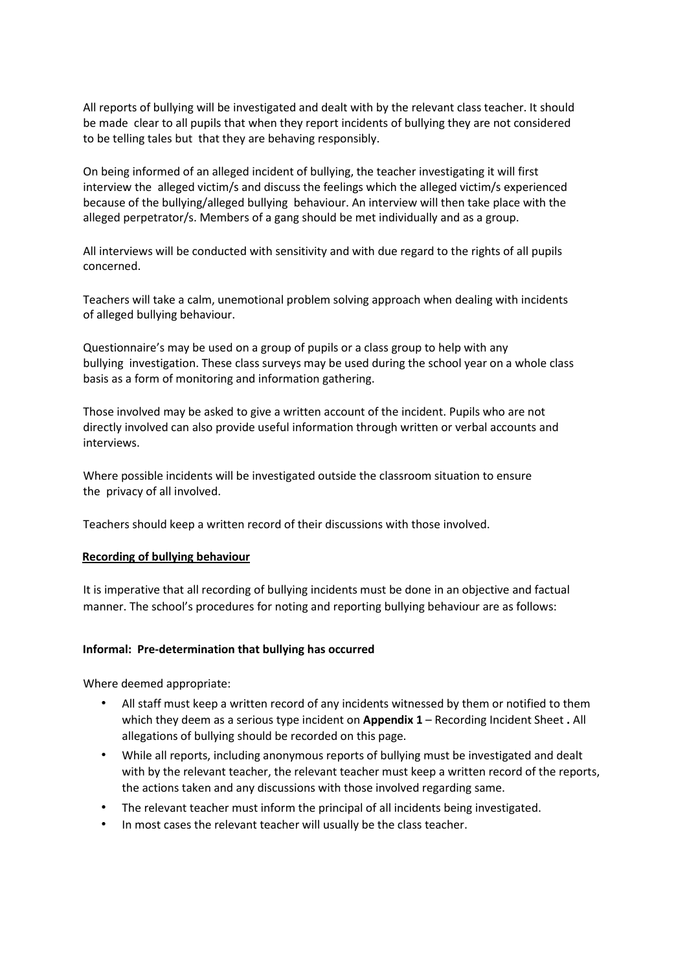All reports of bullying will be investigated and dealt with by the relevant class teacher. It should be made clear to all pupils that when they report incidents of bullying they are not considered to be telling tales but that they are behaving responsibly.

On being informed of an alleged incident of bullying, the teacher investigating it will first interview the alleged victim/s and discuss the feelings which the alleged victim/s experienced because of the bullying/alleged bullying behaviour. An interview will then take place with the alleged perpetrator/s. Members of a gang should be met individually and as a group.

All interviews will be conducted with sensitivity and with due regard to the rights of all pupils concerned.

Teachers will take a calm, unemotional problem solving approach when dealing with incidents of alleged bullying behaviour.

Questionnaire's may be used on a group of pupils or a class group to help with any bullying investigation. These class surveys may be used during the school year on a whole class basis as a form of monitoring and information gathering.

Those involved may be asked to give a written account of the incident. Pupils who are not directly involved can also provide useful information through written or verbal accounts and interviews.

Where possible incidents will be investigated outside the classroom situation to ensure the privacy of all involved.

Teachers should keep a written record of their discussions with those involved.

#### **Recording of bullying behaviour**

It is imperative that all recording of bullying incidents must be done in an objective and factual manner. The school's procedures for noting and reporting bullying behaviour are as follows:

#### **Informal: Pre-determination that bullying has occurred**

Where deemed appropriate:

- All staff must keep a written record of any incidents witnessed by them or notified to them which they deem as a serious type incident on **Appendix 1** – Recording Incident Sheet **.** All allegations of bullying should be recorded on this page.
- While all reports, including anonymous reports of bullying must be investigated and dealt with by the relevant teacher, the relevant teacher must keep a written record of the reports, the actions taken and any discussions with those involved regarding same.
- The relevant teacher must inform the principal of all incidents being investigated.
- In most cases the relevant teacher will usually be the class teacher.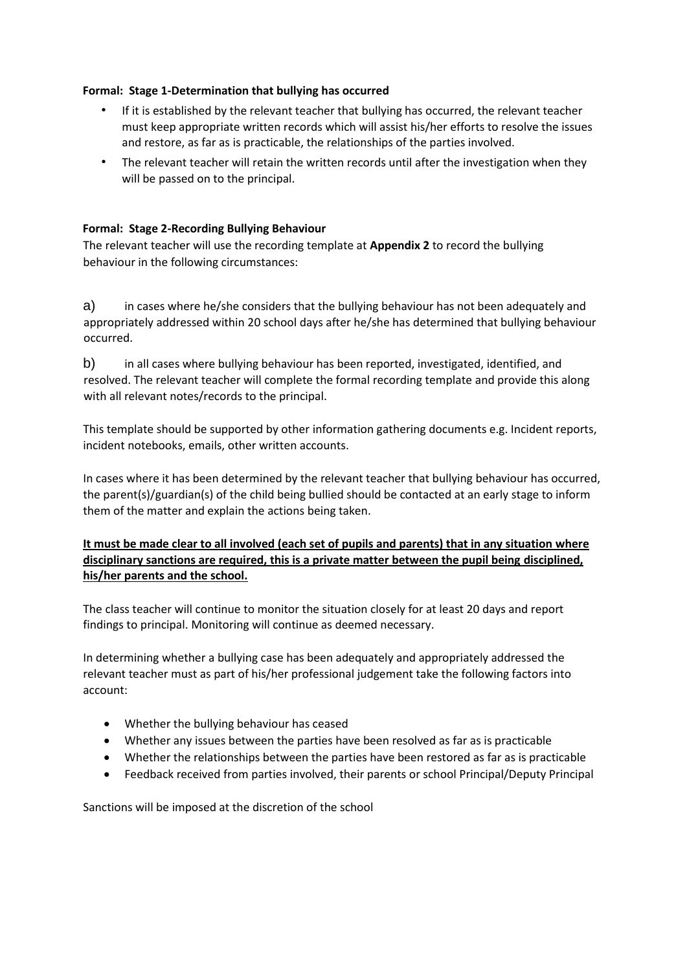# **Formal: Stage 1-Determination that bullying has occurred**

- If it is established by the relevant teacher that bullying has occurred, the relevant teacher must keep appropriate written records which will assist his/her efforts to resolve the issues and restore, as far as is practicable, the relationships of the parties involved.
- The relevant teacher will retain the written records until after the investigation when they will be passed on to the principal.

# **Formal: Stage 2-Recording Bullying Behaviour**

The relevant teacher will use the recording template at **Appendix 2** to record the bullying behaviour in the following circumstances:

a) in cases where he/she considers that the bullying behaviour has not been adequately and appropriately addressed within 20 school days after he/she has determined that bullying behaviour occurred.

b) in all cases where bullying behaviour has been reported, investigated, identified, and resolved. The relevant teacher will complete the formal recording template and provide this along with all relevant notes/records to the principal.

This template should be supported by other information gathering documents e.g. Incident reports, incident notebooks, emails, other written accounts.

In cases where it has been determined by the relevant teacher that bullying behaviour has occurred, the parent(s)/guardian(s) of the child being bullied should be contacted at an early stage to inform them of the matter and explain the actions being taken.

# **It must be made clear to all involved (each set of pupils and parents) that in any situation where disciplinary sanctions are required, this is a private matter between the pupil being disciplined, his/her parents and the school.**

The class teacher will continue to monitor the situation closely for at least 20 days and report findings to principal. Monitoring will continue as deemed necessary.

In determining whether a bullying case has been adequately and appropriately addressed the relevant teacher must as part of his/her professional judgement take the following factors into account:

- Whether the bullying behaviour has ceased
- Whether any issues between the parties have been resolved as far as is practicable
- Whether the relationships between the parties have been restored as far as is practicable
- Feedback received from parties involved, their parents or school Principal/Deputy Principal

Sanctions will be imposed at the discretion of the school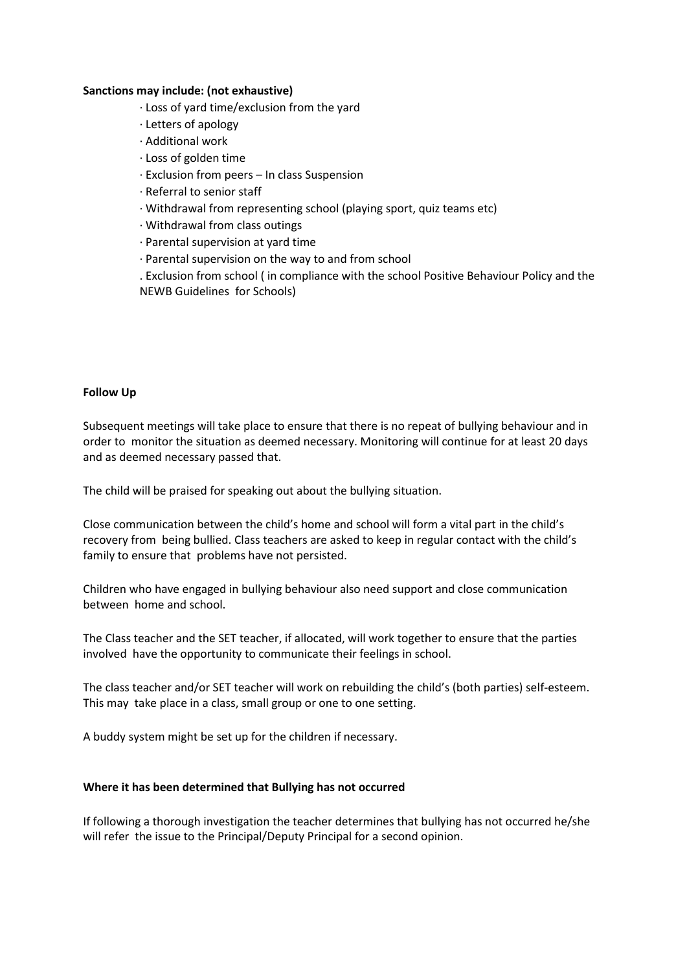#### **Sanctions may include: (not exhaustive)**

- ∙ Loss of yard time/exclusion from the yard
- ∙ Letters of apology
- ∙ Additional work
- ∙ Loss of golden time
- ∙ Exclusion from peers In class Suspension
- ∙ Referral to senior staff
- ∙ Withdrawal from representing school (playing sport, quiz teams etc)
- ∙ Withdrawal from class outings
- ∙ Parental supervision at yard time
- ∙ Parental supervision on the way to and from school

. Exclusion from school ( in compliance with the school Positive Behaviour Policy and the NEWB Guidelines for Schools)

#### **Follow Up**

Subsequent meetings will take place to ensure that there is no repeat of bullying behaviour and in order to monitor the situation as deemed necessary. Monitoring will continue for at least 20 days and as deemed necessary passed that.

The child will be praised for speaking out about the bullying situation.

Close communication between the child's home and school will form a vital part in the child's recovery from being bullied. Class teachers are asked to keep in regular contact with the child's family to ensure that problems have not persisted.

Children who have engaged in bullying behaviour also need support and close communication between home and school.

The Class teacher and the SET teacher, if allocated, will work together to ensure that the parties involved have the opportunity to communicate their feelings in school.

The class teacher and/or SET teacher will work on rebuilding the child's (both parties) self-esteem. This may take place in a class, small group or one to one setting.

A buddy system might be set up for the children if necessary.

#### **Where it has been determined that Bullying has not occurred**

If following a thorough investigation the teacher determines that bullying has not occurred he/she will refer the issue to the Principal/Deputy Principal for a second opinion.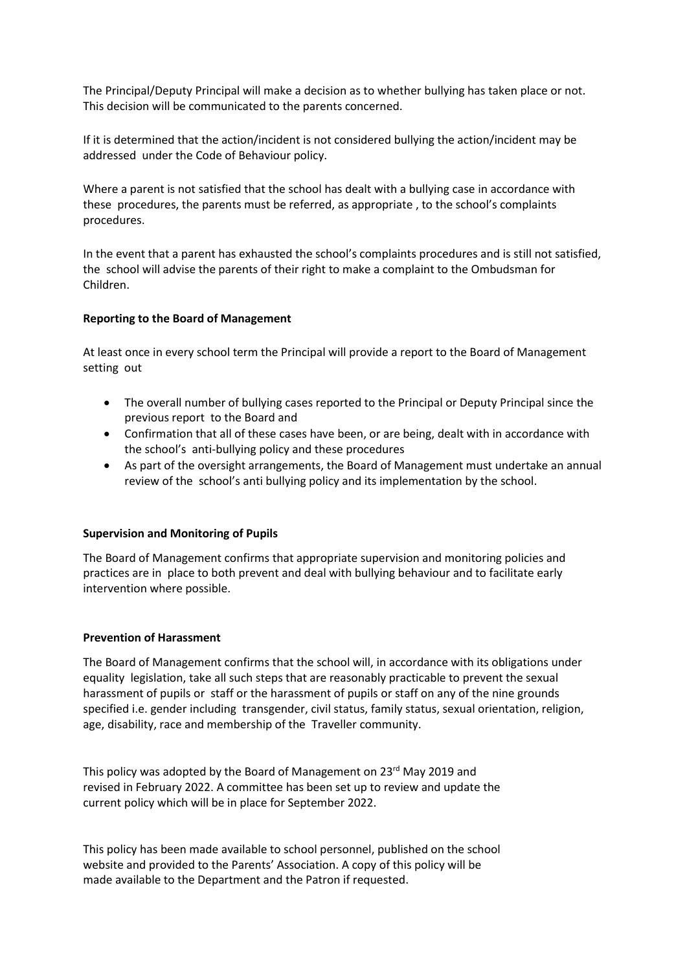The Principal/Deputy Principal will make a decision as to whether bullying has taken place or not. This decision will be communicated to the parents concerned.

If it is determined that the action/incident is not considered bullying the action/incident may be addressed under the Code of Behaviour policy.

Where a parent is not satisfied that the school has dealt with a bullying case in accordance with these procedures, the parents must be referred, as appropriate , to the school's complaints procedures.

In the event that a parent has exhausted the school's complaints procedures and is still not satisfied, the school will advise the parents of their right to make a complaint to the Ombudsman for Children.

#### **Reporting to the Board of Management**

At least once in every school term the Principal will provide a report to the Board of Management setting out

- The overall number of bullying cases reported to the Principal or Deputy Principal since the previous report to the Board and
- Confirmation that all of these cases have been, or are being, dealt with in accordance with the school's anti-bullying policy and these procedures
- As part of the oversight arrangements, the Board of Management must undertake an annual review of the school's anti bullying policy and its implementation by the school.

#### **Supervision and Monitoring of Pupils**

The Board of Management confirms that appropriate supervision and monitoring policies and practices are in place to both prevent and deal with bullying behaviour and to facilitate early intervention where possible.

#### **Prevention of Harassment**

The Board of Management confirms that the school will, in accordance with its obligations under equality legislation, take all such steps that are reasonably practicable to prevent the sexual harassment of pupils or staff or the harassment of pupils or staff on any of the nine grounds specified i.e. gender including transgender, civil status, family status, sexual orientation, religion, age, disability, race and membership of the Traveller community.

This policy was adopted by the Board of Management on 23rd May 2019 and revised in February 2022. A committee has been set up to review and update the current policy which will be in place for September 2022.

This policy has been made available to school personnel, published on the school website and provided to the Parents' Association. A copy of this policy will be made available to the Department and the Patron if requested.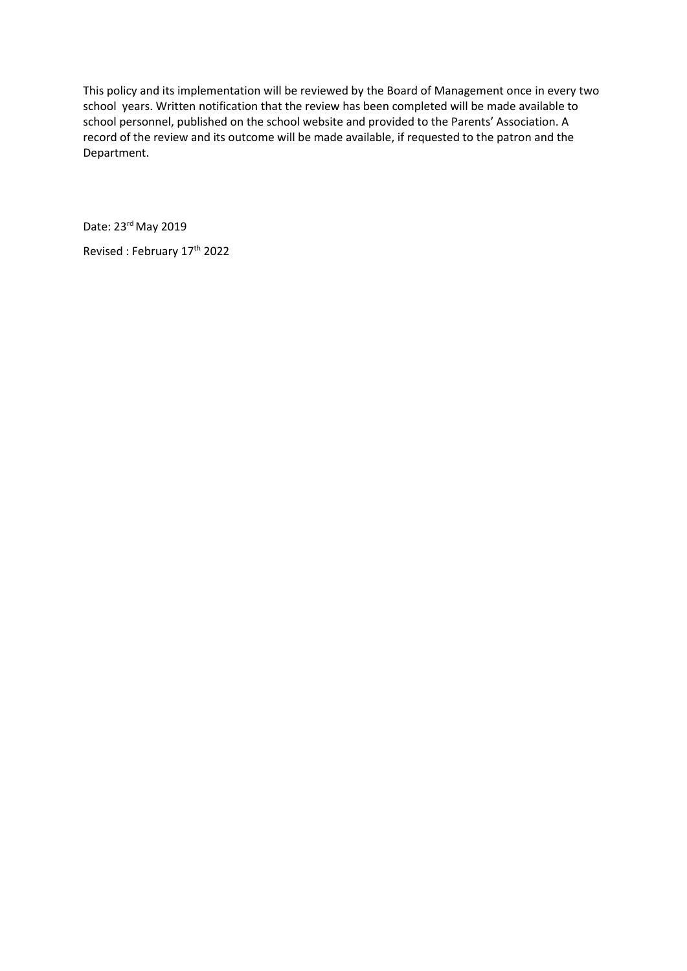This policy and its implementation will be reviewed by the Board of Management once in every two school years. Written notification that the review has been completed will be made available to school personnel, published on the school website and provided to the Parents' Association. A record of the review and its outcome will be made available, if requested to the patron and the Department.

Date: 23rd May 2019

Revised : February 17<sup>th</sup> 2022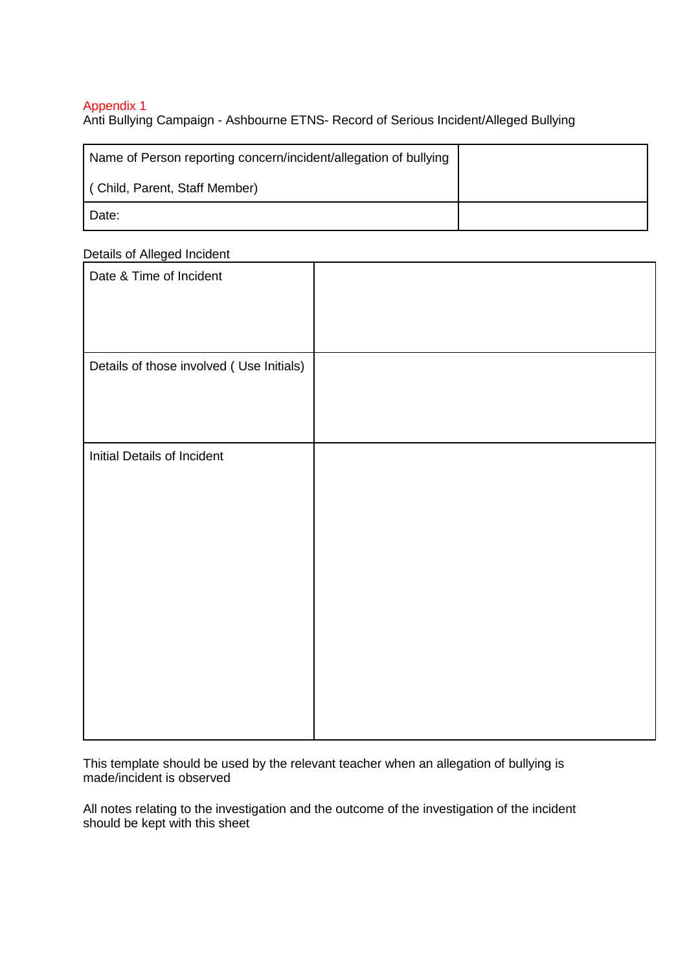# Appendix 1

Anti Bullying Campaign - Ashbourne ETNS- Record of Serious Incident/Alleged Bullying

| Name of Person reporting concern/incident/allegation of bullying |  |
|------------------------------------------------------------------|--|
| (Child, Parent, Staff Member)                                    |  |
| Date:                                                            |  |

Details of Alleged Incident

| Date & Time of Incident                  |  |
|------------------------------------------|--|
| Details of those involved (Use Initials) |  |
| Initial Details of Incident              |  |

This template should be used by the relevant teacher when an allegation of bullying is made/incident is observed

All notes relating to the investigation and the outcome of the investigation of the incident should be kept with this sheet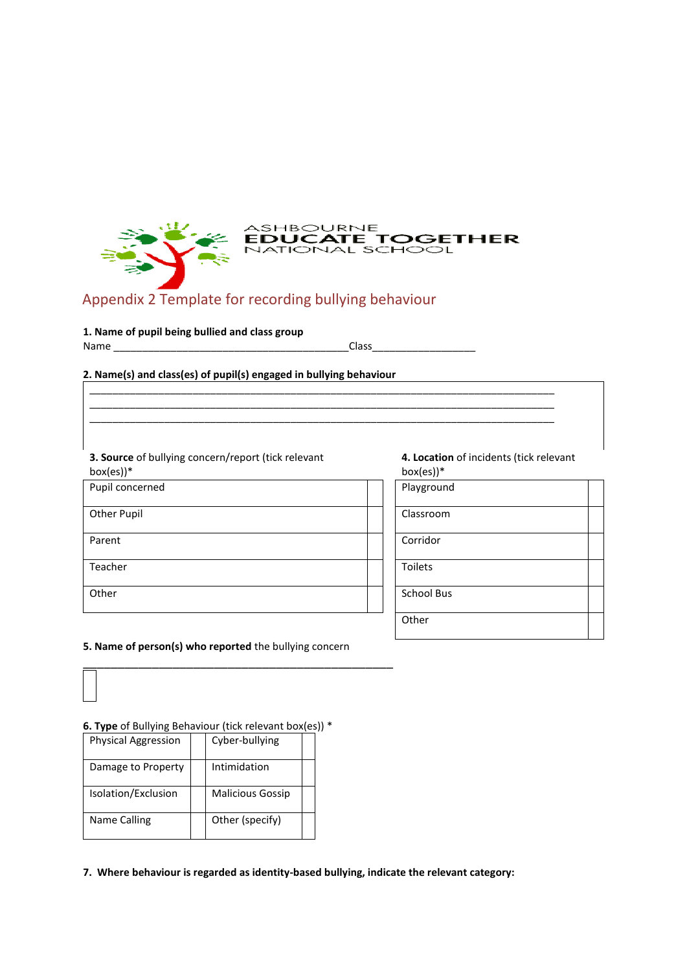

\_\_\_\_\_\_\_\_\_\_\_\_\_\_\_\_\_\_\_\_\_\_\_\_\_\_\_\_\_\_\_\_\_\_\_\_\_\_\_\_\_\_\_\_\_\_\_\_\_\_\_\_\_\_\_\_\_\_\_\_\_\_\_\_\_\_\_\_\_\_\_\_\_\_\_\_\_\_\_\_\_ \_\_\_\_\_\_\_\_\_\_\_\_\_\_\_\_\_\_\_\_\_\_\_\_\_\_\_\_\_\_\_\_\_\_\_\_\_\_\_\_\_\_\_\_\_\_\_\_\_\_\_\_\_\_\_\_\_\_\_\_\_\_\_\_\_\_\_\_\_\_\_\_\_\_\_\_\_\_\_\_\_ \_\_\_\_\_\_\_\_\_\_\_\_\_\_\_\_\_\_\_\_\_\_\_\_\_\_\_\_\_\_\_\_\_\_\_\_\_\_\_\_\_\_\_\_\_\_\_\_\_\_\_\_\_\_\_\_\_\_\_\_\_\_\_\_\_\_\_\_\_\_\_\_\_\_\_\_\_\_\_\_\_

# Appendix 2 Template for recording bullying behaviour

#### **1. Name of pupil being bullied and class group**

| Name |  |
|------|--|
|------|--|

#### **2. Name(s) and class(es) of pupil(s) engaged in bullying behaviour**

#### **3. Source** of bullying concern/report (tick relevant

| $box(es))$ *       | box(es)        |
|--------------------|----------------|
| Pupil concerned    | Playgrou       |
| <b>Other Pupil</b> | Classroo       |
| Parent             | Corridor       |
| Teacher            | <b>Toilets</b> |
| Other              | School B       |
|                    |                |

#### **4. Location** of incidents (tick relevant box(es))\*

Playground Classroom

School Bus

**Other** 

#### **5. Name of person(s) who reported** the bullying concern

\_\_\_\_\_\_\_\_\_\_\_\_\_\_\_\_\_\_\_\_\_\_\_\_\_\_\_\_\_\_\_\_\_\_\_\_\_\_\_\_\_\_\_\_\_

#### **6. Type** of Bullying Behaviour (tick relevant box(es)) \*

| <b>Physical Aggression</b> | Cyber-bullying          |  |
|----------------------------|-------------------------|--|
| Damage to Property         | Intimidation            |  |
| Isolation/Exclusion        | <b>Malicious Gossip</b> |  |
| Name Calling               | Other (specify)         |  |

**7. Where behaviour is regarded as identity-based bullying, indicate the relevant category:**